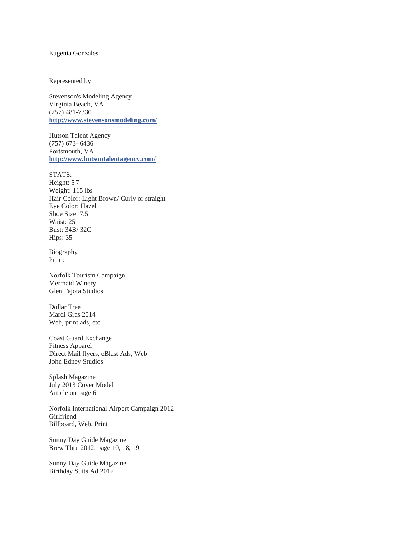## Eugenia Gonzales

## Represented by:

Stevenson's Modeling Agency Virginia Beach, VA (757) 481-7330 **[http://www.stevensonsmodeling.com/](https://l.facebook.com/l.php?u=http%3A%2F%2Fwww.stevensonsmodeling.com%2F%3Ffbclid%3DIwAR2BaGBEcqkLbnpP5Mv8Ix2Rqq8aYoFjY6KQ3PUzqYECYXl2ThVBwCA8hPE&h=AT0j86hNX4akciZl8ZRxKC7n0S6Wp6MCs1248cw8morJbv8o3JzA-IUWSPlW2VUeB9Au7WFQLymuV_iy-o-Tf_wmmTVQR1EBOQQkZEO9jelk_tduzYJw3NEXC0WQb5pNpjo2WP2S)**

Hutson Talent Agency (757) 673- 6436 Portsmouth, VA **[http://www.hutsontalentagency.com/](http://www.hutsontalentagency.com/?fbclid=IwAR3jBgPoOVdEUGpU0y6zCzJKoFAi5nnqNrhbbg6aef-lRQSytAQ10NKecHU)**

STATS:

Height: 5'7 Weight: 115 lbs Hair Color: Light Brown/ Curly or straight Eye Color: Hazel Shoe Size: 7.5 Waist: 25 Bust: 34B/ 32C Hips: 35

Biography Print:

Norfolk Tourism Campaign Mermaid Winery Glen Fajota Studios

Dollar Tree Mardi Gras 2014 Web, print ads, etc

Coast Guard Exchange Fitness Apparel Direct Mail flyers, eBlast Ads, Web John Edney Studios

Splash Magazine July 2013 Cover Model Article on page 6

Norfolk International Airport Campaign 2012 Girlfriend Billboard, Web, Print

Sunny Day Guide Magazine Brew Thru 2012, page 10, 18, 19

Sunny Day Guide Magazine Birthday Suits Ad 2012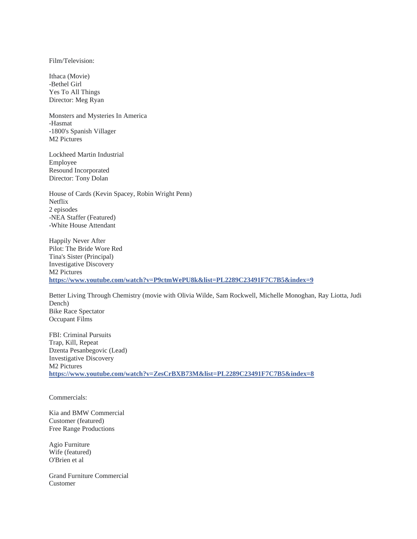Film/Television:

Ithaca (Movie) -Bethel Girl Yes To All Things Director: Meg Ryan

Monsters and Mysteries In America -Hasmat -1800's Spanish Villager M2 Pictures

Lockheed Martin Industrial Employee Resound Incorporated Director: Tony Dolan

House of Cards (Kevin Spacey, Robin Wright Penn) Netflix 2 episodes -NEA Staffer (Featured) -White House Attendant

Happily Never After Pilot: The Bride Wore Red Tina's Sister (Principal) Investigative Discovery M2 Pictures **[https://www.youtube.com/watch?v=P9ctmWePU8k&list=PL2289C23491F7C7B5&index=9](https://l.facebook.com/l.php?u=https%3A%2F%2Fwww.youtube.com%2Fwatch%3Fv%3DP9ctmWePU8k%26list%3DPL2289C23491F7C7B5%26index%3D9%26fbclid%3DIwAR0z78dz1Wi-nf8FBunGjEkfi6HjHRW6hmNh2qPl0nURNdrS4rXDe3US8NA&h=AT3zASfCG3Fw8AHO3Gq8j5LSsjilcjA0RqukjUBBna2DrqyjcEPBM8yVFVT9nW-eDCbktmDEOtmhULngn0EWDCGK-QULWlw3c4M_mCDSgXrUwVicb3361VpF5b1PmQ7byefzcEov)**

Better Living Through Chemistry (movie with Olivia Wilde, Sam Rockwell, Michelle Monoghan, Ray Liotta, Judi Dench) Bike Race Spectator Occupant Films

FBI: Criminal Pursuits Trap, Kill, Repeat Dzenta Pesanbegovic (Lead) Investigative Discovery M2 Pictures **[https://www.youtube.com/watch?v=ZesCrBXB73M&list=PL2289C23491F7C7B5&index=8](https://l.facebook.com/l.php?u=https%3A%2F%2Fwww.youtube.com%2Fwatch%3Fv%3DZesCrBXB73M%26list%3DPL2289C23491F7C7B5%26index%3D8%26fbclid%3DIwAR1JdtDUf_5Mwm7VkgykaifkUSNz2WIMI1OOLW7svS-pYYKa7_7ZfyEju70&h=AT0s3bi0SytixVBGEPZb1XUqHdmHgMiNuWQAta-rLIcs6JQzLlnYHpmCzZRzy35hnf4lV5RCFJMgAU71T5IBPn_w81NK01UN1nOKCEPZClImRuIThbJd6gEi93GaGUhlGWks3lVw)**

Commercials:

Kia and BMW Commercial Customer (featured) Free Range Productions

Agio Furniture Wife (featured) O'Brien et al

Grand Furniture Commercial Customer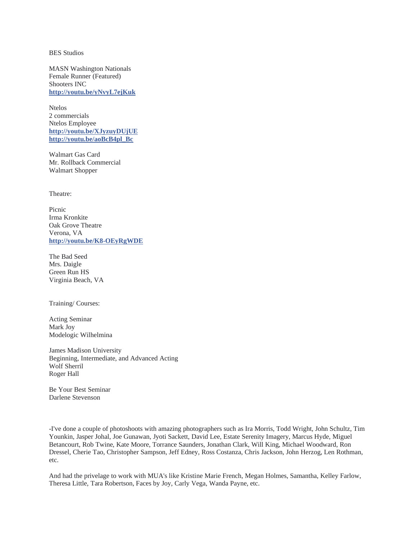BES Studios

MASN Washington Nationals Female Runner (Featured) Shooters INC **[http://youtu.be/yNvyL7ejKuk](https://l.facebook.com/l.php?u=https%3A%2F%2Fyoutu.be%2FyNvyL7ejKuk%3Ffbclid%3DIwAR3NvkDtRIHje0OH3UWZUiniNvRtoWLjQkUQLbggd8xVMwcX-NoPcrcNAfU&h=AT2AnNB-J4UkmeMkEmQV3BwX6o1Yfypg_G11GAmQAb3wZbDUQnIogN_GpjALc6MZkUEUE7r56eX1Lfqv3KDB919mpByCigGJaJmoENtN7fla1xAzBmvK8icVAtK3RyeIA1_vTDkY)**

Ntelos 2 commercials Ntelos Employee **[http://youtu.be/XJyzuyDUjUE](https://youtu.be/XJyzuyDUjUE?fbclid=IwAR0zluZ0-S-kN8MHhaYa5oJ2CLco2oUGAH_9T805LlEiVKYEscK7Te4HnEU) [http://youtu.be/aoBcB4pl\\_Bc](https://l.facebook.com/l.php?u=https%3A%2F%2Fyoutu.be%2FaoBcB4pl_Bc%3Ffbclid%3DIwAR2RoL1yZ9wB6bUia5ObElVgYEuBjka9kvmvSJTWz4DtB3SIgTxUOT9Vl0o&h=AT1sxQDhY2csjCys8pqS3jV9dUo4PBCtK4eXmVRAJDJx-Opc47O7XeTK1VGPtyDeruTV057nLOoSVxERhOLgodtMsAC6c1Sp-R3i1U08UEGLVcd8olAflGeosWNgyn9exRDougUX)**

Walmart Gas Card Mr. Rollback Commercial Walmart Shopper

Theatre:

Picnic Irma Kronkite Oak Grove Theatre Verona, VA **[http://youtu.be/K8-OEyRgWDE](https://l.facebook.com/l.php?u=https%3A%2F%2Fyoutu.be%2FK8-OEyRgWDE%3Ffbclid%3DIwAR0k5LGnHQ4r4CEkMF3gUL1KwELs_ZH2JP0ssWyGsAbCnHDLxCUyA8KrQ64&h=AT3a26FTD6gY4_PKV29VdoTvvWffkVZhXVyYcJs0HrnTncWgQBXy_fkFfwNFY2zahSAjpGOSdOEdmhn3fXgjbKCK4MV3XGBMuiFc1W032NUElApuOXTpIqPWS1tfxE0XDfmoABDa)**

The Bad Seed Mrs. Daigle Green Run HS Virginia Beach, VA

Training/ Courses:

Acting Seminar Mark Joy Modelogic Wilhelmina

James Madison University Beginning, Intermediate, and Advanced Acting Wolf Sherril Roger Hall

Be Your Best Seminar Darlene Stevenson

-I've done a couple of photoshoots with amazing photographers such as Ira Morris, Todd Wright, John Schultz, Tim Younkin, Jasper Johal, Joe Gunawan, Jyoti Sackett, David Lee, Estate Serenity Imagery, Marcus Hyde, Miguel Betancourt, Rob Twine, Kate Moore, Torrance Saunders, Jonathan Clark, Will King, Michael Woodward, Ron Dressel, Cherie Tao, Christopher Sampson, Jeff Edney, Ross Costanza, Chris Jackson, John Herzog, Len Rothman, etc.

And had the privelage to work with MUA's like Kristine Marie French, Megan Holmes, Samantha, Kelley Farlow, Theresa Little, Tara Robertson, Faces by Joy, Carly Vega, Wanda Payne, etc.